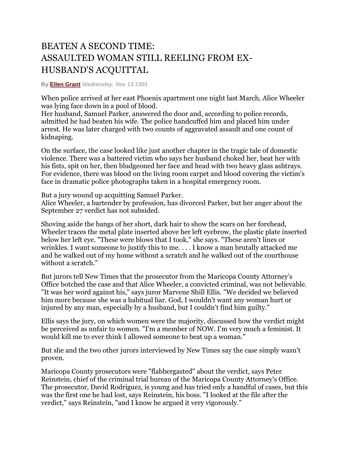## BEATEN A SECOND TIME: ASSAULTED WOMAN STILL REELING FROM EX-HUSBAND'S ACQUITTAL

## **By [Ellen Grant](http://www.phoenixnewtimes.com/authors/ellen-grant)** *Wednesday, Nov 13 1991*

When police arrived at her east Phoenix apartment one night last March, Alice Wheeler was lying face down in a pool of blood.

Her husband, Samuel Parker, answered the door and, according to police records, admitted he had beaten his wife. The police handcuffed him and placed him under arrest. He was later charged with two counts of aggravated assault and one count of kidnaping.

On the surface, the case looked like just another chapter in the tragic tale of domestic violence. There was a battered victim who says her husband choked her, beat her with his fists, spit on her, then bludgeoned her face and head with two heavy glass ashtrays. For evidence, there was blood on the living room carpet and blood covering the victim's face in dramatic police photographs taken in a hospital emergency room.

But a jury wound up acquitting Samuel Parker.

Alice Wheeler, a bartender by profession, has divorced Parker, but her anger about the September 27 verdict has not subsided.

Shoving aside the bangs of her short, dark hair to show the scars on her forehead, Wheeler traces the metal plate inserted above her left eyebrow, the plastic plate inserted below her left eye. "These were blows that I took," she says. "These aren't lines or wrinkles. I want someone to justify this to me. . . . I know a man brutally attacked me and he walked out of my home without a scratch and he walked out of the courthouse without a scratch."

But jurors tell New Times that the prosecutor from the Maricopa County Attorney's Office botched the case and that Alice Wheeler, a convicted criminal, was not believable. "It was her word against his," says juror Marvene Shill Ellis. "We decided we believed him more because she was a habitual liar. God, I wouldn't want any woman hurt or injured by any man, especially by a husband, but I couldn't find him guilty."

Ellis says the jury, on which women were the majority, discussed how the verdict might be perceived as unfair to women. "I'm a member of NOW. I'm very much a feminist. It would kill me to ever think I allowed someone to beat up a woman."

But she and the two other jurors interviewed by New Times say the case simply wasn't proven.

Maricopa County prosecutors were "flabbergasted" about the verdict, says Peter Reinstein, chief of the criminal trial bureau of the Maricopa County Attorney's Office. The prosecutor, David Rodriguez, is young and has tried only a handful of cases, but this was the first one he had lost, says Reinstein, his boss. "I looked at the file after the verdict," says Reinstein, "and I know he argued it very vigorously."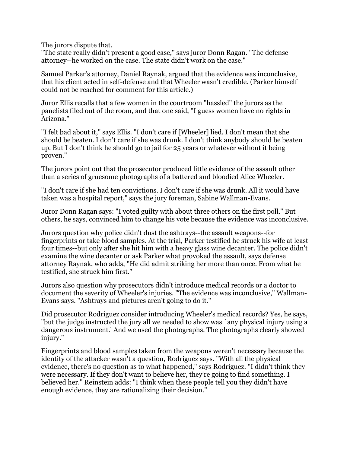The jurors dispute that.

"The state really didn't present a good case," says juror Donn Ragan. "The defense attorney--he worked on the case. The state didn't work on the case."

Samuel Parker's attorney, Daniel Raynak, argued that the evidence was inconclusive, that his client acted in self-defense and that Wheeler wasn't credible. (Parker himself could not be reached for comment for this article.)

Juror Ellis recalls that a few women in the courtroom "hassled" the jurors as the panelists filed out of the room, and that one said, "I guess women have no rights in Arizona."

"I felt bad about it," says Ellis. "I don't care if [Wheeler] lied. I don't mean that she should be beaten. I don't care if she was drunk. I don't think anybody should be beaten up. But I don't think he should go to jail for 25 years or whatever without it being proven."

The jurors point out that the prosecutor produced little evidence of the assault other than a series of gruesome photographs of a battered and bloodied Alice Wheeler.

"I don't care if she had ten convictions. I don't care if she was drunk. All it would have taken was a hospital report," says the jury foreman, Sabine Wallman-Evans.

Juror Donn Ragan says: "I voted guilty with about three others on the first poll." But others, he says, convinced him to change his vote because the evidence was inconclusive.

Jurors question why police didn't dust the ashtrays--the assault weapons--for fingerprints or take blood samples. At the trial, Parker testified he struck his wife at least four times--but only after she hit him with a heavy glass wine decanter. The police didn't examine the wine decanter or ask Parker what provoked the assault, says defense attorney Raynak, who adds, "He did admit striking her more than once. From what he testified, she struck him first."

Jurors also question why prosecutors didn't introduce medical records or a doctor to document the severity of Wheeler's injuries. "The evidence was inconclusive," Wallman-Evans says. "Ashtrays and pictures aren't going to do it."

Did prosecutor Rodriguez consider introducing Wheeler's medical records? Yes, he says, "but the judge instructed the jury all we needed to show was `any physical injury using a dangerous instrument.' And we used the photographs. The photographs clearly showed injury."

Fingerprints and blood samples taken from the weapons weren't necessary because the identity of the attacker wasn't a question, Rodriguez says. "With all the physical evidence, there's no question as to what happened," says Rodriguez. "I didn't think they were necessary. If they don't want to believe her, they're going to find something. I believed her." Reinstein adds: "I think when these people tell you they didn't have enough evidence, they are rationalizing their decision."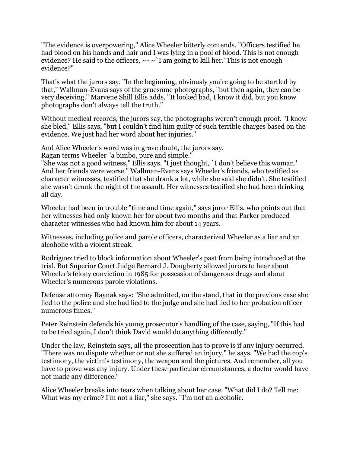"The evidence is overpowering," Alice Wheeler bitterly contends. "Officers testified he had blood on his hands and hair and I was lying in a pool of blood. This is not enough evidence? He said to the officers,  $\sim \sim$  I am going to kill her.' This is not enough evidence?"

That's what the jurors say. "In the beginning, obviously you're going to be startled by that," Wallman-Evans says of the gruesome photographs, "but then again, they can be very deceiving." Marvene Shill Ellis adds, "It looked bad, I know it did, but you know photographs don't always tell the truth."

Without medical records, the jurors say, the photographs weren't enough proof. "I know she bled," Ellis says, "but I couldn't find him guilty of such terrible charges based on the evidence. We just had her word about her injuries."

And Alice Wheeler's word was in grave doubt, the jurors say. Ragan terms Wheeler "a bimbo, pure and simple."

"She was not a good witness," Ellis says. "I just thought, `I don't believe this woman.' And her friends were worse." Wallman-Evans says Wheeler's friends, who testified as character witnesses, testified that she drank a lot, while she said she didn't. She testified she wasn't drunk the night of the assault. Her witnesses testified she had been drinking all day.

Wheeler had been in trouble "time and time again," says juror Ellis, who points out that her witnesses had only known her for about two months and that Parker produced character witnesses who had known him for about 14 years.

Witnesses, including police and parole officers, characterized Wheeler as a liar and an alcoholic with a violent streak.

Rodriguez tried to block information about Wheeler's past from being introduced at the trial. But Superior Court Judge Bernard J. Dougherty allowed jurors to hear about Wheeler's felony conviction in 1985 for possession of dangerous drugs and about Wheeler's numerous parole violations.

Defense attorney Raynak says: "She admitted, on the stand, that in the previous case she lied to the police and she had lied to the judge and she had lied to her probation officer numerous times."

Peter Reinstein defends his young prosecutor's handling of the case, saying, "If this had to be tried again, I don't think David would do anything differently."

Under the law, Reinstein says, all the prosecution has to prove is if any injury occurred. "There was no dispute whether or not she suffered an injury," he says. "We had the cop's testimony, the victim's testimony, the weapon and the pictures. And remember, all you have to prove was any injury. Under these particular circumstances, a doctor would have not made any difference."

Alice Wheeler breaks into tears when talking about her case. "What did I do? Tell me: What was my crime? I'm not a liar," she says. "I'm not an alcoholic.